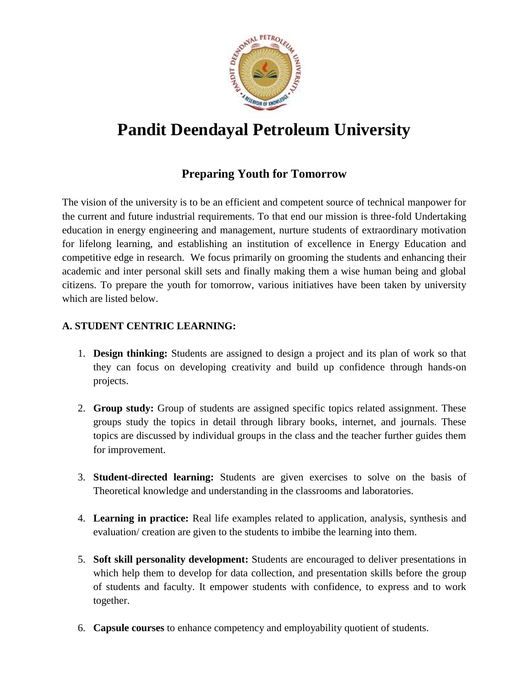

# **Pandit Deendayal Petroleum University**

# **Preparing Youth for Tomorrow**

The vision of the university is to be an efficient and competent source of technical manpower for the current and future industrial requirements. To that end our mission is three-fold Undertaking education in energy engineering and management, nurture students of extraordinary motivation for lifelong learning, and establishing an institution of excellence in Energy Education and competitive edge in research. We focus primarily on grooming the students and enhancing their academic and inter personal skill sets and finally making them a wise human being and global citizens. To prepare the youth for tomorrow, various initiatives have been taken by university which are listed below.

# **A. STUDENT CENTRIC LEARNING:**

- 1. **Design thinking:** Students are assigned to design a project and its plan of work so that they can focus on developing creativity and build up confidence through hands-on projects.
- 2. **Group study:** Group of students are assigned specific topics related assignment. These groups study the topics in detail through library books, internet, and journals. These topics are discussed by individual groups in the class and the teacher further guides them for improvement.
- 3. **Student-directed learning:** Students are given exercises to solve on the basis of Theoretical knowledge and understanding in the classrooms and laboratories.
- 4. **Learning in practice:** Real life examples related to application, analysis, synthesis and evaluation/ creation are given to the students to imbibe the learning into them.
- 5. **Soft skill personality development:** Students are encouraged to deliver presentations in which help them to develop for data collection, and presentation skills before the group of students and faculty. It empower students with confidence, to express and to work together.
- 6. **Capsule courses** to enhance competency and employability quotient of students.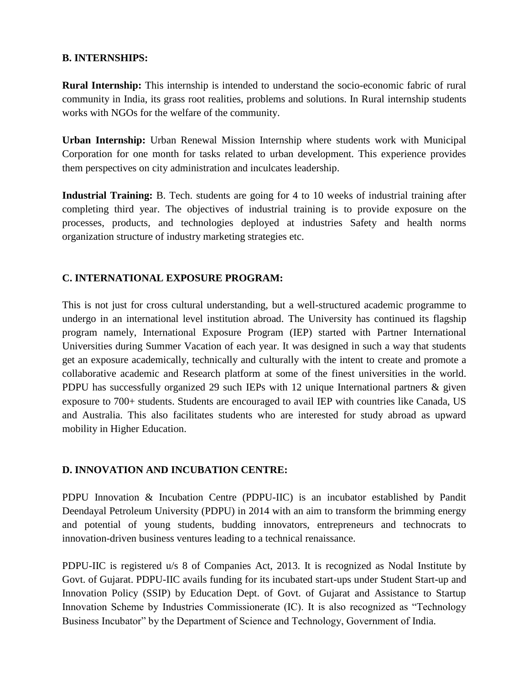#### **B. INTERNSHIPS:**

**Rural Internship:** This internship is intended to understand the socio-economic fabric of rural community in India, its grass root realities, problems and solutions. In Rural internship students works with NGOs for the welfare of the community.

**Urban Internship:** Urban Renewal Mission Internship where students work with Municipal Corporation for one month for tasks related to urban development. This experience provides them perspectives on city administration and inculcates leadership.

**Industrial Training:** B. Tech. students are going for 4 to 10 weeks of industrial training after completing third year. The objectives of industrial training is to provide exposure on the processes, products, and technologies deployed at industries Safety and health norms organization structure of industry marketing strategies etc.

## **C. INTERNATIONAL EXPOSURE PROGRAM:**

This is not just for cross cultural understanding, but a well-structured academic programme to undergo in an international level institution abroad. The University has continued its flagship program namely, International Exposure Program (IEP) started with Partner International Universities during Summer Vacation of each year. It was designed in such a way that students get an exposure academically, technically and culturally with the intent to create and promote a collaborative academic and Research platform at some of the finest universities in the world. PDPU has successfully organized 29 such IEPs with 12 unique International partners & given exposure to 700+ students. Students are encouraged to avail IEP with countries like Canada, US and Australia. This also facilitates students who are interested for study abroad as upward mobility in Higher Education.

#### **D. INNOVATION AND INCUBATION CENTRE:**

PDPU Innovation & Incubation Centre (PDPU-IIC) is an incubator established by Pandit Deendayal Petroleum University (PDPU) in 2014 with an aim to transform the brimming energy and potential of young students, budding innovators, entrepreneurs and technocrats to innovation-driven business ventures leading to a technical renaissance.

PDPU-IIC is registered u/s 8 of Companies Act, 2013. It is recognized as Nodal Institute by Govt. of Gujarat. PDPU-IIC avails funding for its incubated start-ups under Student Start-up and Innovation Policy (SSIP) by Education Dept. of Govt. of Gujarat and Assistance to Startup Innovation Scheme by Industries Commissionerate (IC). It is also recognized as "Technology Business Incubator" by the Department of Science and Technology, Government of India.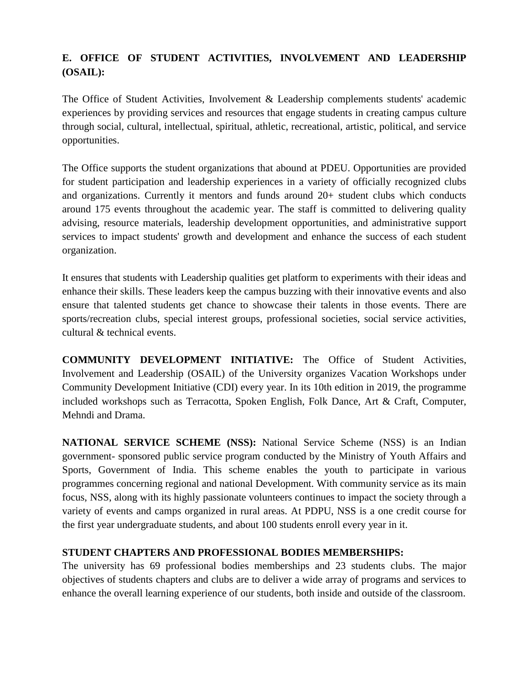# **E. OFFICE OF STUDENT ACTIVITIES, INVOLVEMENT AND LEADERSHIP (OSAIL):**

The Office of Student Activities, Involvement & Leadership complements students' academic experiences by providing services and resources that engage students in creating campus culture through social, cultural, intellectual, spiritual, athletic, recreational, artistic, political, and service opportunities.

The Office supports the student organizations that abound at PDEU. Opportunities are provided for student participation and leadership experiences in a variety of officially recognized clubs and organizations. Currently it mentors and funds around 20+ student clubs which conducts around 175 events throughout the academic year. The staff is committed to delivering quality advising, resource materials, leadership development opportunities, and administrative support services to impact students' growth and development and enhance the success of each student organization.

It ensures that students with Leadership qualities get platform to experiments with their ideas and enhance their skills. These leaders keep the campus buzzing with their innovative events and also ensure that talented students get chance to showcase their talents in those events. There are sports/recreation clubs, special interest groups, professional societies, social service activities, cultural & technical events.

**COMMUNITY DEVELOPMENT INITIATIVE:** The Office of Student Activities, Involvement and Leadership (OSAIL) of the University organizes Vacation Workshops under Community Development Initiative (CDI) every year. In its 10th edition in 2019, the programme included workshops such as Terracotta, Spoken English, Folk Dance, Art & Craft, Computer, Mehndi and Drama.

**NATIONAL SERVICE SCHEME (NSS):** National Service Scheme (NSS) is an Indian government- sponsored public service program conducted by the Ministry of Youth Affairs and Sports, Government of India. This scheme enables the youth to participate in various programmes concerning regional and national Development. With community service as its main focus, NSS, along with its highly passionate volunteers continues to impact the society through a variety of events and camps organized in rural areas. At PDPU, NSS is a one credit course for the first year undergraduate students, and about 100 students enroll every year in it.

### **STUDENT CHAPTERS AND PROFESSIONAL BODIES MEMBERSHIPS:**

The university has 69 professional bodies memberships and 23 students clubs. The major objectives of students chapters and clubs are to deliver a wide array of programs and services to enhance the overall learning experience of our students, both inside and outside of the classroom.